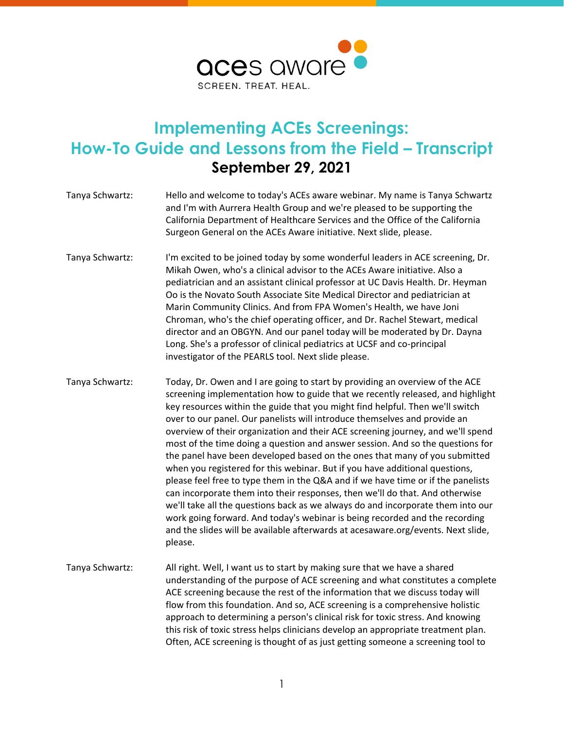

## **Implementing ACEs Screenings: How-To Guide and Lessons from the Field – Transcript September 29, 2021**

| Tanya Schwartz: | Hello and welcome to today's ACEs aware webinar. My name is Tanya Schwartz<br>and I'm with Aurrera Health Group and we're pleased to be supporting the<br>California Department of Healthcare Services and the Office of the California<br>Surgeon General on the ACEs Aware initiative. Next slide, please.                                                                                                                                                                                                                                                                                                                                                                                                                                                                                                                                                                                                                                                                                                                                                                                        |
|-----------------|-----------------------------------------------------------------------------------------------------------------------------------------------------------------------------------------------------------------------------------------------------------------------------------------------------------------------------------------------------------------------------------------------------------------------------------------------------------------------------------------------------------------------------------------------------------------------------------------------------------------------------------------------------------------------------------------------------------------------------------------------------------------------------------------------------------------------------------------------------------------------------------------------------------------------------------------------------------------------------------------------------------------------------------------------------------------------------------------------------|
| Tanya Schwartz: | I'm excited to be joined today by some wonderful leaders in ACE screening, Dr.<br>Mikah Owen, who's a clinical advisor to the ACEs Aware initiative. Also a<br>pediatrician and an assistant clinical professor at UC Davis Health. Dr. Heyman<br>Oo is the Novato South Associate Site Medical Director and pediatrician at<br>Marin Community Clinics. And from FPA Women's Health, we have Joni<br>Chroman, who's the chief operating officer, and Dr. Rachel Stewart, medical<br>director and an OBGYN. And our panel today will be moderated by Dr. Dayna<br>Long. She's a professor of clinical pediatrics at UCSF and co-principal<br>investigator of the PEARLS tool. Next slide please.                                                                                                                                                                                                                                                                                                                                                                                                    |
| Tanya Schwartz: | Today, Dr. Owen and I are going to start by providing an overview of the ACE<br>screening implementation how to guide that we recently released, and highlight<br>key resources within the guide that you might find helpful. Then we'll switch<br>over to our panel. Our panelists will introduce themselves and provide an<br>overview of their organization and their ACE screening journey, and we'll spend<br>most of the time doing a question and answer session. And so the questions for<br>the panel have been developed based on the ones that many of you submitted<br>when you registered for this webinar. But if you have additional questions,<br>please feel free to type them in the Q&A and if we have time or if the panelists<br>can incorporate them into their responses, then we'll do that. And otherwise<br>we'll take all the questions back as we always do and incorporate them into our<br>work going forward. And today's webinar is being recorded and the recording<br>and the slides will be available afterwards at acesaware.org/events. Next slide,<br>please. |
| Tanya Schwartz: | All right. Well, I want us to start by making sure that we have a shared<br>understanding of the purpose of ACE screening and what constitutes a complete<br>ACE screening because the rest of the information that we discuss today will<br>flow from this foundation. And so, ACE screening is a comprehensive holistic<br>approach to determining a person's clinical risk for toxic stress. And knowing<br>this risk of toxic stress helps clinicians develop an appropriate treatment plan.<br>Often, ACE screening is thought of as just getting someone a screening tool to                                                                                                                                                                                                                                                                                                                                                                                                                                                                                                                  |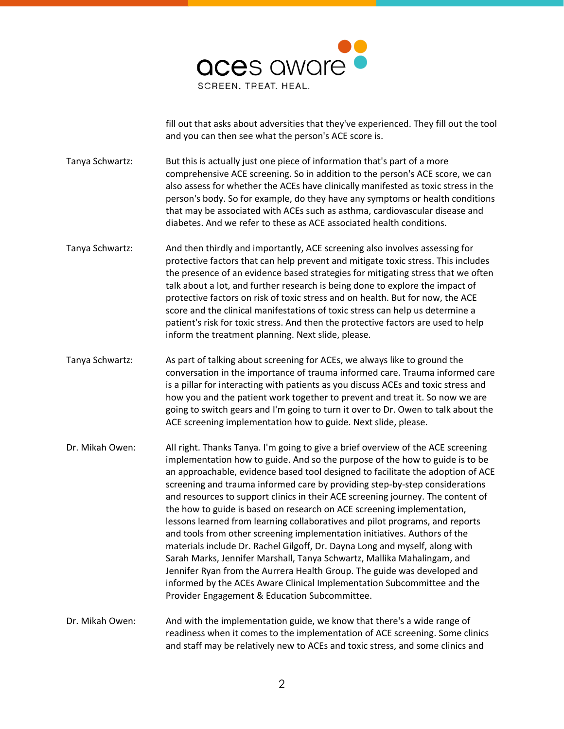

fill out that asks about adversities that they've experienced. They fill out the tool and you can then see what the person's ACE score is.

Tanya Schwartz: But this is actually just one piece of information that's part of a more comprehensive ACE screening. So in addition to the person's ACE score, we can also assess for whether the ACEs have clinically manifested as toxic stress in the person's body. So for example, do they have any symptoms or health conditions that may be associated with ACEs such as asthma, cardiovascular disease and diabetes. And we refer to these as ACE associated health conditions.

- Tanya Schwartz: And then thirdly and importantly, ACE screening also involves assessing for protective factors that can help prevent and mitigate toxic stress. This includes the presence of an evidence based strategies for mitigating stress that we often talk about a lot, and further research is being done to explore the impact of protective factors on risk of toxic stress and on health. But for now, the ACE score and the clinical manifestations of toxic stress can help us determine a patient's risk for toxic stress. And then the protective factors are used to help inform the treatment planning. Next slide, please.
- Tanya Schwartz: As part of talking about screening for ACEs, we always like to ground the conversation in the importance of trauma informed care. Trauma informed care is a pillar for interacting with patients as you discuss ACEs and toxic stress and how you and the patient work together to prevent and treat it. So now we are going to switch gears and I'm going to turn it over to Dr. Owen to talk about the ACE screening implementation how to guide. Next slide, please.
- Dr. Mikah Owen: All right. Thanks Tanya. I'm going to give a brief overview of the ACE screening implementation how to guide. And so the purpose of the how to guide is to be an approachable, evidence based tool designed to facilitate the adoption of ACE screening and trauma informed care by providing step-by-step considerations and resources to support clinics in their ACE screening journey. The content of the how to guide is based on research on ACE screening implementation, lessons learned from learning collaboratives and pilot programs, and reports and tools from other screening implementation initiatives. Authors of the materials include Dr. Rachel Gilgoff, Dr. Dayna Long and myself, along with Sarah Marks, Jennifer Marshall, Tanya Schwartz, Mallika Mahalingam, and Jennifer Ryan from the Aurrera Health Group. The guide was developed and informed by the ACEs Aware Clinical Implementation Subcommittee and the Provider Engagement & Education Subcommittee.

Dr. Mikah Owen: And with the implementation guide, we know that there's a wide range of readiness when it comes to the implementation of ACE screening. Some clinics and staff may be relatively new to ACEs and toxic stress, and some clinics and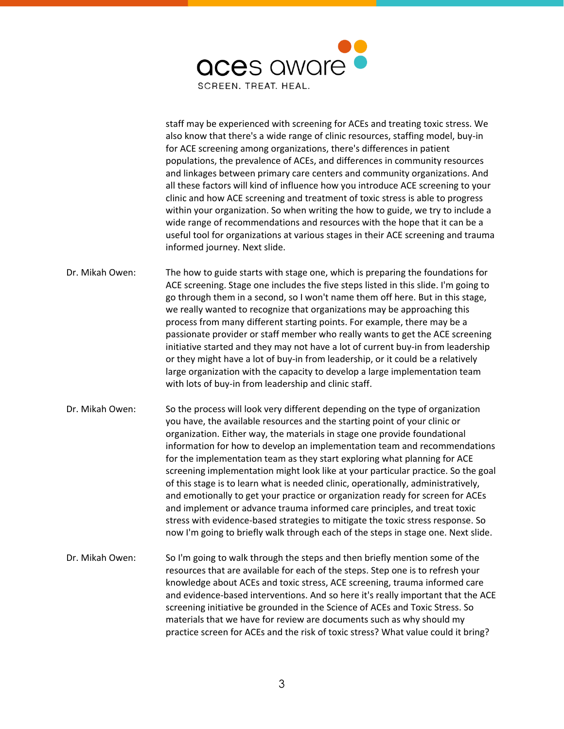

staff may be experienced with screening for ACEs and treating toxic stress. We also know that there's a wide range of clinic resources, staffing model, buy-in for ACE screening among organizations, there's differences in patient populations, the prevalence of ACEs, and differences in community resources and linkages between primary care centers and community organizations. And all these factors will kind of influence how you introduce ACE screening to your clinic and how ACE screening and treatment of toxic stress is able to progress within your organization. So when writing the how to guide, we try to include a wide range of recommendations and resources with the hope that it can be a useful tool for organizations at various stages in their ACE screening and trauma informed journey. Next slide.

- Dr. Mikah Owen: The how to guide starts with stage one, which is preparing the foundations for ACE screening. Stage one includes the five steps listed in this slide. I'm going to go through them in a second, so I won't name them off here. But in this stage, we really wanted to recognize that organizations may be approaching this process from many different starting points. For example, there may be a passionate provider or staff member who really wants to get the ACE screening initiative started and they may not have a lot of current buy-in from leadership or they might have a lot of buy-in from leadership, or it could be a relatively large organization with the capacity to develop a large implementation team with lots of buy-in from leadership and clinic staff.
- Dr. Mikah Owen: So the process will look very different depending on the type of organization you have, the available resources and the starting point of your clinic or organization. Either way, the materials in stage one provide foundational information for how to develop an implementation team and recommendations for the implementation team as they start exploring what planning for ACE screening implementation might look like at your particular practice. So the goal of this stage is to learn what is needed clinic, operationally, administratively, and emotionally to get your practice or organization ready for screen for ACEs and implement or advance trauma informed care principles, and treat toxic stress with evidence-based strategies to mitigate the toxic stress response. So now I'm going to briefly walk through each of the steps in stage one. Next slide.
- Dr. Mikah Owen: So I'm going to walk through the steps and then briefly mention some of the resources that are available for each of the steps. Step one is to refresh your knowledge about ACEs and toxic stress, ACE screening, trauma informed care and evidence-based interventions. And so here it's really important that the ACE screening initiative be grounded in the Science of ACEs and Toxic Stress. So materials that we have for review are documents such as why should my practice screen for ACEs and the risk of toxic stress? What value could it bring?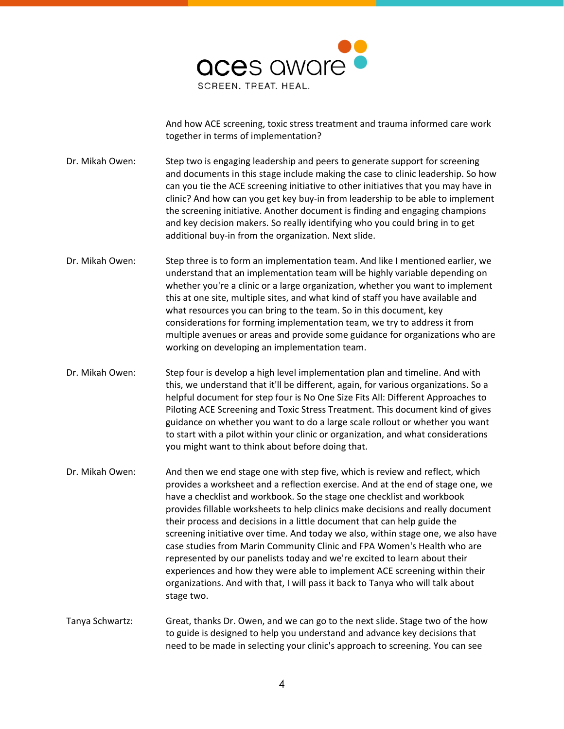

And how ACE screening, toxic stress treatment and trauma informed care work together in terms of implementation?

Dr. Mikah Owen: Step two is engaging leadership and peers to generate support for screening and documents in this stage include making the case to clinic leadership. So how can you tie the ACE screening initiative to other initiatives that you may have in clinic? And how can you get key buy-in from leadership to be able to implement the screening initiative. Another document is finding and engaging champions and key decision makers. So really identifying who you could bring in to get additional buy-in from the organization. Next slide.

- Dr. Mikah Owen: Step three is to form an implementation team. And like I mentioned earlier, we understand that an implementation team will be highly variable depending on whether you're a clinic or a large organization, whether you want to implement this at one site, multiple sites, and what kind of staff you have available and what resources you can bring to the team. So in this document, key considerations for forming implementation team, we try to address it from multiple avenues or areas and provide some guidance for organizations who are working on developing an implementation team.
- Dr. Mikah Owen: Step four is develop a high level implementation plan and timeline. And with this, we understand that it'll be different, again, for various organizations. So a helpful document for step four is No One Size Fits All: Different Approaches to Piloting ACE Screening and Toxic Stress Treatment. This document kind of gives guidance on whether you want to do a large scale rollout or whether you want to start with a pilot within your clinic or organization, and what considerations you might want to think about before doing that.
- Dr. Mikah Owen: And then we end stage one with step five, which is review and reflect, which provides a worksheet and a reflection exercise. And at the end of stage one, we have a checklist and workbook. So the stage one checklist and workbook provides fillable worksheets to help clinics make decisions and really document their process and decisions in a little document that can help guide the screening initiative over time. And today we also, within stage one, we also have case studies from Marin Community Clinic and FPA Women's Health who are represented by our panelists today and we're excited to learn about their experiences and how they were able to implement ACE screening within their organizations. And with that, I will pass it back to Tanya who will talk about stage two.
- Tanya Schwartz: Great, thanks Dr. Owen, and we can go to the next slide. Stage two of the how to guide is designed to help you understand and advance key decisions that need to be made in selecting your clinic's approach to screening. You can see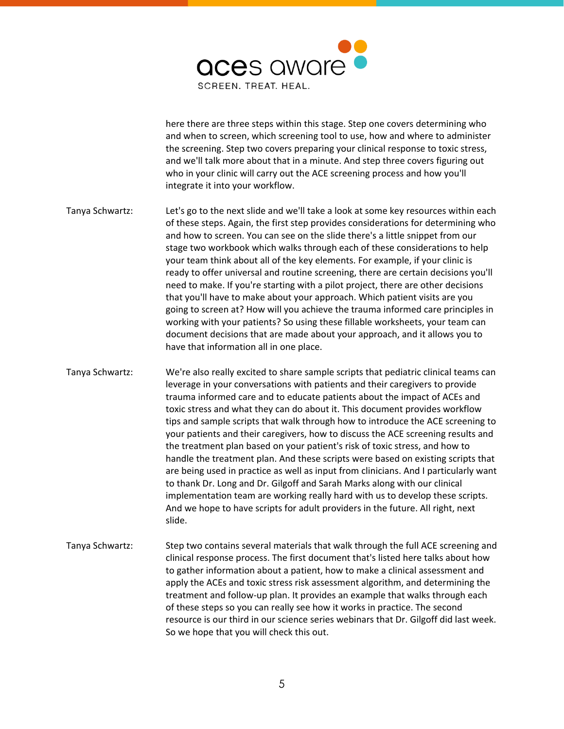

here there are three steps within this stage. Step one covers determining who and when to screen, which screening tool to use, how and where to administer the screening. Step two covers preparing your clinical response to toxic stress, and we'll talk more about that in a minute. And step three covers figuring out who in your clinic will carry out the ACE screening process and how you'll integrate it into your workflow.

Tanya Schwartz: Let's go to the next slide and we'll take a look at some key resources within each of these steps. Again, the first step provides considerations for determining who and how to screen. You can see on the slide there's a little snippet from our stage two workbook which walks through each of these considerations to help your team think about all of the key elements. For example, if your clinic is ready to offer universal and routine screening, there are certain decisions you'll need to make. If you're starting with a pilot project, there are other decisions that you'll have to make about your approach. Which patient visits are you going to screen at? How will you achieve the trauma informed care principles in working with your patients? So using these fillable worksheets, your team can document decisions that are made about your approach, and it allows you to have that information all in one place.

Tanya Schwartz: We're also really excited to share sample scripts that pediatric clinical teams can leverage in your conversations with patients and their caregivers to provide trauma informed care and to educate patients about the impact of ACEs and toxic stress and what they can do about it. This document provides workflow tips and sample scripts that walk through how to introduce the ACE screening to your patients and their caregivers, how to discuss the ACE screening results and the treatment plan based on your patient's risk of toxic stress, and how to handle the treatment plan. And these scripts were based on existing scripts that are being used in practice as well as input from clinicians. And I particularly want to thank Dr. Long and Dr. Gilgoff and Sarah Marks along with our clinical implementation team are working really hard with us to develop these scripts. And we hope to have scripts for adult providers in the future. All right, next slide.

Tanya Schwartz: Step two contains several materials that walk through the full ACE screening and clinical response process. The first document that's listed here talks about how to gather information about a patient, how to make a clinical assessment and apply the ACEs and toxic stress risk assessment algorithm, and determining the treatment and follow-up plan. It provides an example that walks through each of these steps so you can really see how it works in practice. The second resource is our third in our science series webinars that Dr. Gilgoff did last week. So we hope that you will check this out.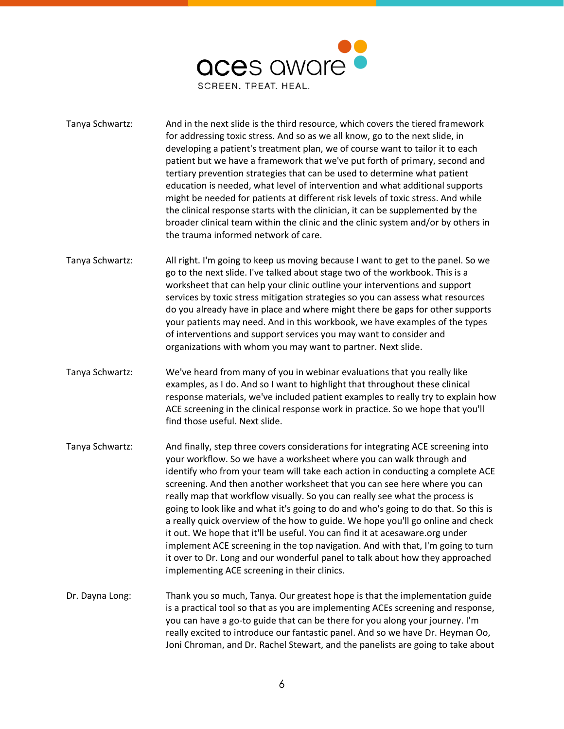

- Tanya Schwartz: And in the next slide is the third resource, which covers the tiered framework for addressing toxic stress. And so as we all know, go to the next slide, in developing a patient's treatment plan, we of course want to tailor it to each patient but we have a framework that we've put forth of primary, second and tertiary prevention strategies that can be used to determine what patient education is needed, what level of intervention and what additional supports might be needed for patients at different risk levels of toxic stress. And while the clinical response starts with the clinician, it can be supplemented by the broader clinical team within the clinic and the clinic system and/or by others in the trauma informed network of care.
- Tanya Schwartz: All right. I'm going to keep us moving because I want to get to the panel. So we go to the next slide. I've talked about stage two of the workbook. This is a worksheet that can help your clinic outline your interventions and support services by toxic stress mitigation strategies so you can assess what resources do you already have in place and where might there be gaps for other supports your patients may need. And in this workbook, we have examples of the types of interventions and support services you may want to consider and organizations with whom you may want to partner. Next slide.
- Tanya Schwartz: We've heard from many of you in webinar evaluations that you really like examples, as I do. And so I want to highlight that throughout these clinical response materials, we've included patient examples to really try to explain how ACE screening in the clinical response work in practice. So we hope that you'll find those useful. Next slide.
- Tanya Schwartz: And finally, step three covers considerations for integrating ACE screening into your workflow. So we have a worksheet where you can walk through and identify who from your team will take each action in conducting a complete ACE screening. And then another worksheet that you can see here where you can really map that workflow visually. So you can really see what the process is going to look like and what it's going to do and who's going to do that. So this is a really quick overview of the how to guide. We hope you'll go online and check it out. We hope that it'll be useful. You can find it at acesaware.org under implement ACE screening in the top navigation. And with that, I'm going to turn it over to Dr. Long and our wonderful panel to talk about how they approached implementing ACE screening in their clinics.
- Dr. Dayna Long: Thank you so much, Tanya. Our greatest hope is that the implementation guide is a practical tool so that as you are implementing ACEs screening and response, you can have a go-to guide that can be there for you along your journey. I'm really excited to introduce our fantastic panel. And so we have Dr. Heyman Oo, Joni Chroman, and Dr. Rachel Stewart, and the panelists are going to take about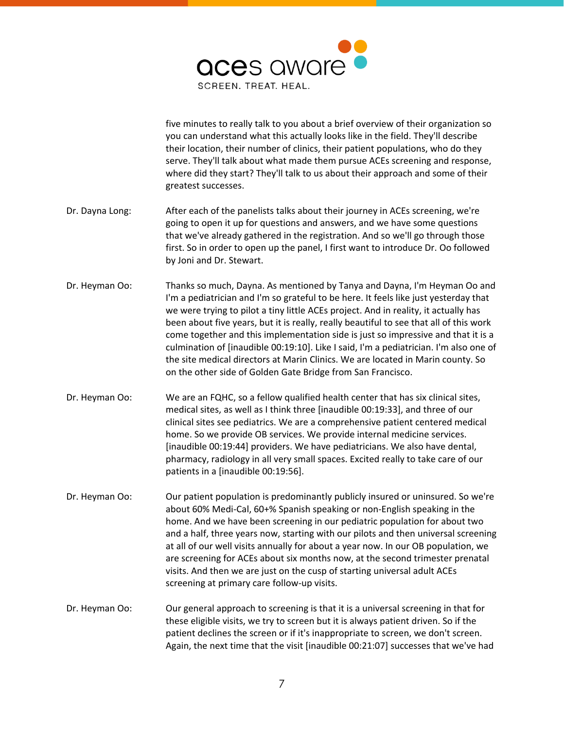

five minutes to really talk to you about a brief overview of their organization so you can understand what this actually looks like in the field. They'll describe their location, their number of clinics, their patient populations, who do they serve. They'll talk about what made them pursue ACEs screening and response, where did they start? They'll talk to us about their approach and some of their greatest successes. Dr. Dayna Long: After each of the panelists talks about their journey in ACEs screening, we're going to open it up for questions and answers, and we have some questions that we've already gathered in the registration. And so we'll go through those first. So in order to open up the panel, I first want to introduce Dr. Oo followed by Joni and Dr. Stewart. Dr. Heyman Oo: Thanks so much, Dayna. As mentioned by Tanya and Dayna, I'm Heyman Oo and I'm a pediatrician and I'm so grateful to be here. It feels like just yesterday that we were trying to pilot a tiny little ACEs project. And in reality, it actually has been about five years, but it is really, really beautiful to see that all of this work come together and this implementation side is just so impressive and that it is a culmination of [inaudible 00:19:10]. Like I said, I'm a pediatrician. I'm also one of the site medical directors at Marin Clinics. We are located in Marin county. So on the other side of Golden Gate Bridge from San Francisco. Dr. Heyman Oo: We are an FQHC, so a fellow qualified health center that has six clinical sites, medical sites, as well as I think three [inaudible 00:19:33], and three of our clinical sites see pediatrics. We are a comprehensive patient centered medical home. So we provide OB services. We provide internal medicine services. [inaudible 00:19:44] providers. We have pediatricians. We also have dental, pharmacy, radiology in all very small spaces. Excited really to take care of our patients in a [inaudible 00:19:56]. Dr. Heyman Oo: Our patient population is predominantly publicly insured or uninsured. So we're about 60% Medi-Cal, 60+% Spanish speaking or non-English speaking in the home. And we have been screening in our pediatric population for about two and a half, three years now, starting with our pilots and then universal screening at all of our well visits annually for about a year now. In our OB population, we are screening for ACEs about six months now, at the second trimester prenatal visits. And then we are just on the cusp of starting universal adult ACEs screening at primary care follow-up visits. Dr. Heyman Oo: Our general approach to screening is that it is a universal screening in that for these eligible visits, we try to screen but it is always patient driven. So if the patient declines the screen or if it's inappropriate to screen, we don't screen. Again, the next time that the visit [inaudible 00:21:07] successes that we've had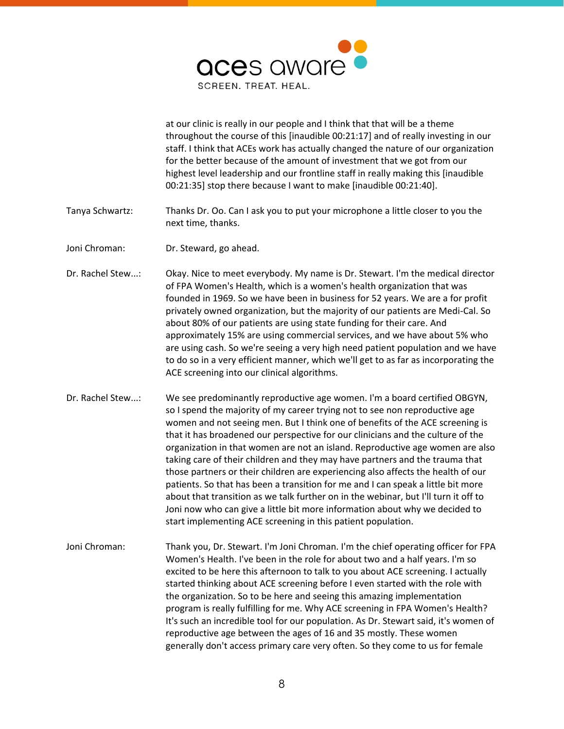

at our clinic is really in our people and I think that that will be a theme throughout the course of this [inaudible 00:21:17] and of really investing in our staff. I think that ACEs work has actually changed the nature of our organization for the better because of the amount of investment that we got from our highest level leadership and our frontline staff in really making this [inaudible 00:21:35] stop there because I want to make [inaudible 00:21:40].

- Tanya Schwartz: Thanks Dr. Oo. Can I ask you to put your microphone a little closer to you the next time, thanks.
- Joni Chroman: Dr. Steward, go ahead.
- Dr. Rachel Stew...: Okay. Nice to meet everybody. My name is Dr. Stewart. I'm the medical director of FPA Women's Health, which is a women's health organization that was founded in 1969. So we have been in business for 52 years. We are a for profit privately owned organization, but the majority of our patients are Medi-Cal. So about 80% of our patients are using state funding for their care. And approximately 15% are using commercial services, and we have about 5% who are using cash. So we're seeing a very high need patient population and we have to do so in a very efficient manner, which we'll get to as far as incorporating the ACE screening into our clinical algorithms.
- Dr. Rachel Stew...: We see predominantly reproductive age women. I'm a board certified OBGYN, so I spend the majority of my career trying not to see non reproductive age women and not seeing men. But I think one of benefits of the ACE screening is that it has broadened our perspective for our clinicians and the culture of the organization in that women are not an island. Reproductive age women are also taking care of their children and they may have partners and the trauma that those partners or their children are experiencing also affects the health of our patients. So that has been a transition for me and I can speak a little bit more about that transition as we talk further on in the webinar, but I'll turn it off to Joni now who can give a little bit more information about why we decided to start implementing ACE screening in this patient population.
- Joni Chroman: Thank you, Dr. Stewart. I'm Joni Chroman. I'm the chief operating officer for FPA Women's Health. I've been in the role for about two and a half years. I'm so excited to be here this afternoon to talk to you about ACE screening. I actually started thinking about ACE screening before I even started with the role with the organization. So to be here and seeing this amazing implementation program is really fulfilling for me. Why ACE screening in FPA Women's Health? It's such an incredible tool for our population. As Dr. Stewart said, it's women of reproductive age between the ages of 16 and 35 mostly. These women generally don't access primary care very often. So they come to us for female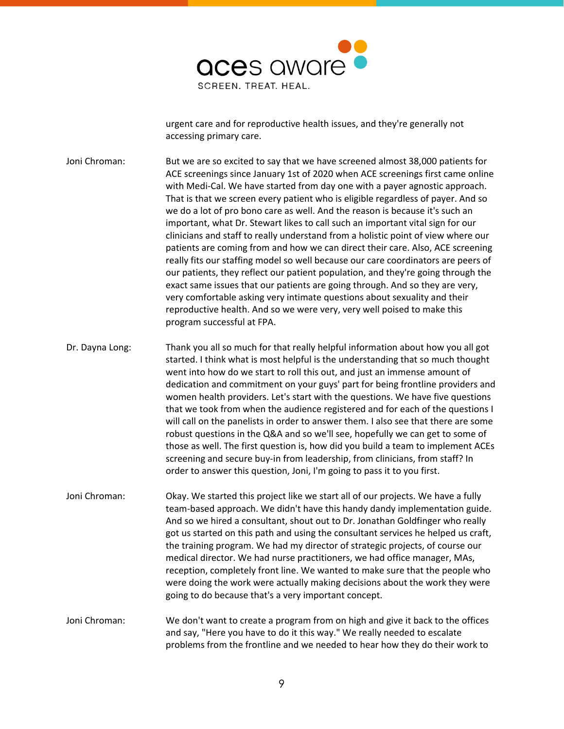

urgent care and for reproductive health issues, and they're generally not accessing primary care.

Joni Chroman: But we are so excited to say that we have screened almost 38,000 patients for ACE screenings since January 1st of 2020 when ACE screenings first came online with Medi-Cal. We have started from day one with a payer agnostic approach. That is that we screen every patient who is eligible regardless of payer. And so we do a lot of pro bono care as well. And the reason is because it's such an important, what Dr. Stewart likes to call such an important vital sign for our clinicians and staff to really understand from a holistic point of view where our patients are coming from and how we can direct their care. Also, ACE screening really fits our staffing model so well because our care coordinators are peers of our patients, they reflect our patient population, and they're going through the exact same issues that our patients are going through. And so they are very, very comfortable asking very intimate questions about sexuality and their reproductive health. And so we were very, very well poised to make this program successful at FPA.

Dr. Dayna Long: Thank you all so much for that really helpful information about how you all got started. I think what is most helpful is the understanding that so much thought went into how do we start to roll this out, and just an immense amount of dedication and commitment on your guys' part for being frontline providers and women health providers. Let's start with the questions. We have five questions that we took from when the audience registered and for each of the questions I will call on the panelists in order to answer them. I also see that there are some robust questions in the Q&A and so we'll see, hopefully we can get to some of those as well. The first question is, how did you build a team to implement ACEs screening and secure buy-in from leadership, from clinicians, from staff? In order to answer this question, Joni, I'm going to pass it to you first.

Joni Chroman: Okay. We started this project like we start all of our projects. We have a fully team-based approach. We didn't have this handy dandy implementation guide. And so we hired a consultant, shout out to Dr. Jonathan Goldfinger who really got us started on this path and using the consultant services he helped us craft, the training program. We had my director of strategic projects, of course our medical director. We had nurse practitioners, we had office manager, MAs, reception, completely front line. We wanted to make sure that the people who were doing the work were actually making decisions about the work they were going to do because that's a very important concept.

Joni Chroman: We don't want to create a program from on high and give it back to the offices and say, "Here you have to do it this way." We really needed to escalate problems from the frontline and we needed to hear how they do their work to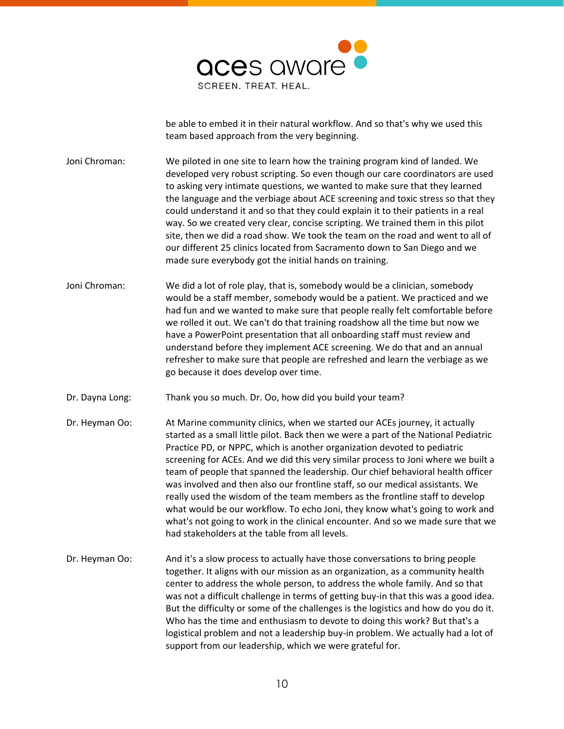

be able to embed it in their natural workflow. And so that's why we used this team based approach from the very beginning.

Joni Chroman: We piloted in one site to learn how the training program kind of landed. We developed very robust scripting. So even though our care coordinators are used to asking very intimate questions, we wanted to make sure that they learned the language and the verbiage about ACE screening and toxic stress so that they could understand it and so that they could explain it to their patients in a real way. So we created very clear, concise scripting. We trained them in this pilot site, then we did a road show. We took the team on the road and went to all of our different 25 clinics located from Sacramento down to San Diego and we made sure everybody got the initial hands on training.

- Joni Chroman: We did a lot of role play, that is, somebody would be a clinician, somebody would be a staff member, somebody would be a patient. We practiced and we had fun and we wanted to make sure that people really felt comfortable before we rolled it out. We can't do that training roadshow all the time but now we have a PowerPoint presentation that all onboarding staff must review and understand before they implement ACE screening. We do that and an annual refresher to make sure that people are refreshed and learn the verbiage as we go because it does develop over time.
- Dr. Dayna Long: Thank you so much. Dr. Oo, how did you build your team?
- Dr. Heyman Oo: At Marine community clinics, when we started our ACEs journey, it actually started as a small little pilot. Back then we were a part of the National Pediatric Practice PD, or NPPC, which is another organization devoted to pediatric screening for ACEs. And we did this very similar process to Joni where we built a team of people that spanned the leadership. Our chief behavioral health officer was involved and then also our frontline staff, so our medical assistants. We really used the wisdom of the team members as the frontline staff to develop what would be our workflow. To echo Joni, they know what's going to work and what's not going to work in the clinical encounter. And so we made sure that we had stakeholders at the table from all levels.
- Dr. Heyman Oo: And it's a slow process to actually have those conversations to bring people together. It aligns with our mission as an organization, as a community health center to address the whole person, to address the whole family. And so that was not a difficult challenge in terms of getting buy-in that this was a good idea. But the difficulty or some of the challenges is the logistics and how do you do it. Who has the time and enthusiasm to devote to doing this work? But that's a logistical problem and not a leadership buy-in problem. We actually had a lot of support from our leadership, which we were grateful for.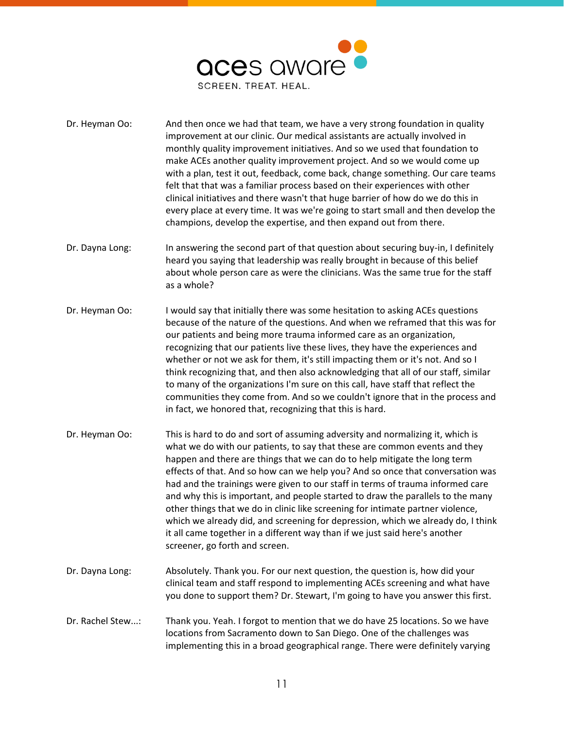

- Dr. Heyman Oo: And then once we had that team, we have a very strong foundation in quality improvement at our clinic. Our medical assistants are actually involved in monthly quality improvement initiatives. And so we used that foundation to make ACEs another quality improvement project. And so we would come up with a plan, test it out, feedback, come back, change something. Our care teams felt that that was a familiar process based on their experiences with other clinical initiatives and there wasn't that huge barrier of how do we do this in every place at every time. It was we're going to start small and then develop the champions, develop the expertise, and then expand out from there.
- Dr. Dayna Long: In answering the second part of that question about securing buy-in, I definitely heard you saying that leadership was really brought in because of this belief about whole person care as were the clinicians. Was the same true for the staff as a whole?
- Dr. Heyman Oo: I would say that initially there was some hesitation to asking ACEs questions because of the nature of the questions. And when we reframed that this was for our patients and being more trauma informed care as an organization, recognizing that our patients live these lives, they have the experiences and whether or not we ask for them, it's still impacting them or it's not. And so I think recognizing that, and then also acknowledging that all of our staff, similar to many of the organizations I'm sure on this call, have staff that reflect the communities they come from. And so we couldn't ignore that in the process and in fact, we honored that, recognizing that this is hard.
- Dr. Heyman Oo: This is hard to do and sort of assuming adversity and normalizing it, which is what we do with our patients, to say that these are common events and they happen and there are things that we can do to help mitigate the long term effects of that. And so how can we help you? And so once that conversation was had and the trainings were given to our staff in terms of trauma informed care and why this is important, and people started to draw the parallels to the many other things that we do in clinic like screening for intimate partner violence, which we already did, and screening for depression, which we already do, I think it all came together in a different way than if we just said here's another screener, go forth and screen.
- Dr. Dayna Long: Absolutely. Thank you. For our next question, the question is, how did your clinical team and staff respond to implementing ACEs screening and what have you done to support them? Dr. Stewart, I'm going to have you answer this first.
- Dr. Rachel Stew...: Thank you. Yeah. I forgot to mention that we do have 25 locations. So we have locations from Sacramento down to San Diego. One of the challenges was implementing this in a broad geographical range. There were definitely varying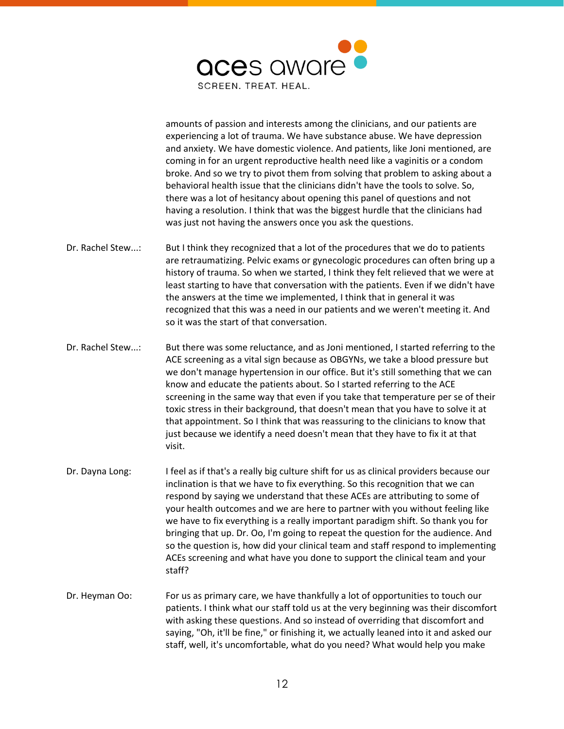

amounts of passion and interests among the clinicians, and our patients are experiencing a lot of trauma. We have substance abuse. We have depression and anxiety. We have domestic violence. And patients, like Joni mentioned, are coming in for an urgent reproductive health need like a vaginitis or a condom broke. And so we try to pivot them from solving that problem to asking about a behavioral health issue that the clinicians didn't have the tools to solve. So, there was a lot of hesitancy about opening this panel of questions and not having a resolution. I think that was the biggest hurdle that the clinicians had was just not having the answers once you ask the questions.

- Dr. Rachel Stew...: But I think they recognized that a lot of the procedures that we do to patients are retraumatizing. Pelvic exams or gynecologic procedures can often bring up a history of trauma. So when we started, I think they felt relieved that we were at least starting to have that conversation with the patients. Even if we didn't have the answers at the time we implemented, I think that in general it was recognized that this was a need in our patients and we weren't meeting it. And so it was the start of that conversation.
- Dr. Rachel Stew...: But there was some reluctance, and as Joni mentioned, I started referring to the ACE screening as a vital sign because as OBGYNs, we take a blood pressure but we don't manage hypertension in our office. But it's still something that we can know and educate the patients about. So I started referring to the ACE screening in the same way that even if you take that temperature per se of their toxic stress in their background, that doesn't mean that you have to solve it at that appointment. So I think that was reassuring to the clinicians to know that just because we identify a need doesn't mean that they have to fix it at that visit.
- Dr. Dayna Long: I feel as if that's a really big culture shift for us as clinical providers because our inclination is that we have to fix everything. So this recognition that we can respond by saying we understand that these ACEs are attributing to some of your health outcomes and we are here to partner with you without feeling like we have to fix everything is a really important paradigm shift. So thank you for bringing that up. Dr. Oo, I'm going to repeat the question for the audience. And so the question is, how did your clinical team and staff respond to implementing ACEs screening and what have you done to support the clinical team and your staff?
- Dr. Heyman Oo: For us as primary care, we have thankfully a lot of opportunities to touch our patients. I think what our staff told us at the very beginning was their discomfort with asking these questions. And so instead of overriding that discomfort and saying, "Oh, it'll be fine," or finishing it, we actually leaned into it and asked our staff, well, it's uncomfortable, what do you need? What would help you make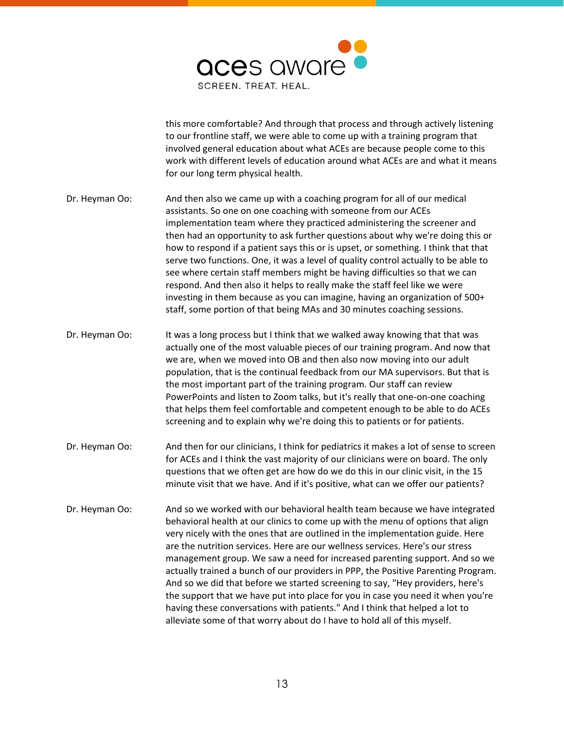

this more comfortable? And through that process and through actively listening to our frontline staff, we were able to come up with a training program that involved general education about what ACEs are because people come to this work with different levels of education around what ACEs are and what it means for our long term physical health.

- Dr. Heyman Oo: And then also we came up with a coaching program for all of our medical assistants. So one on one coaching with someone from our ACEs implementation team where they practiced administering the screener and then had an opportunity to ask further questions about why we're doing this or how to respond if a patient says this or is upset, or something. I think that that serve two functions. One, it was a level of quality control actually to be able to see where certain staff members might be having difficulties so that we can respond. And then also it helps to really make the staff feel like we were investing in them because as you can imagine, having an organization of 500+ staff, some portion of that being MAs and 30 minutes coaching sessions.
- Dr. Heyman Oo: It was a long process but I think that we walked away knowing that that was actually one of the most valuable pieces of our training program. And now that we are, when we moved into OB and then also now moving into our adult population, that is the continual feedback from our MA supervisors. But that is the most important part of the training program. Our staff can review PowerPoints and listen to Zoom talks, but it's really that one-on-one coaching that helps them feel comfortable and competent enough to be able to do ACEs screening and to explain why we're doing this to patients or for patients.
- Dr. Heyman Oo: And then for our clinicians, I think for pediatrics it makes a lot of sense to screen for ACEs and I think the vast majority of our clinicians were on board. The only questions that we often get are how do we do this in our clinic visit, in the 15 minute visit that we have. And if it's positive, what can we offer our patients?
- Dr. Heyman Oo: And so we worked with our behavioral health team because we have integrated behavioral health at our clinics to come up with the menu of options that align very nicely with the ones that are outlined in the implementation guide. Here are the nutrition services. Here are our wellness services. Here's our stress management group. We saw a need for increased parenting support. And so we actually trained a bunch of our providers in PPP, the Positive Parenting Program. And so we did that before we started screening to say, "Hey providers, here's the support that we have put into place for you in case you need it when you're having these conversations with patients." And I think that helped a lot to alleviate some of that worry about do I have to hold all of this myself.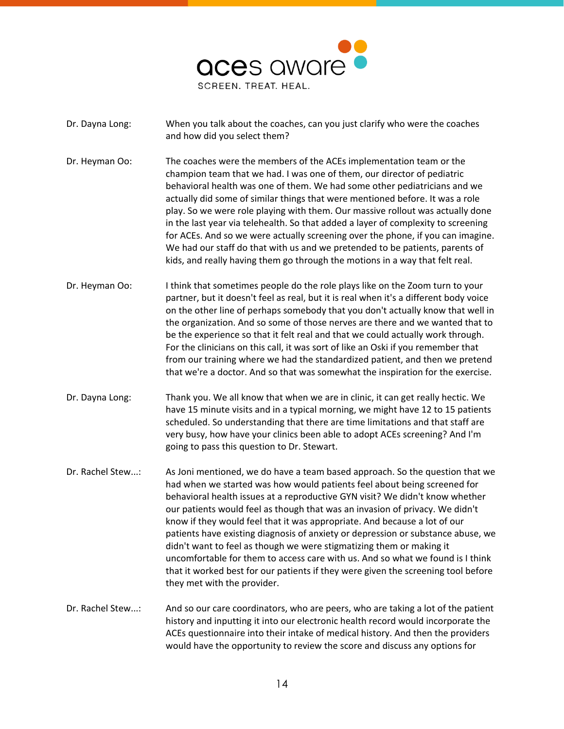

- Dr. Dayna Long: When you talk about the coaches, can you just clarify who were the coaches and how did you select them?
- Dr. Heyman Oo: The coaches were the members of the ACEs implementation team or the champion team that we had. I was one of them, our director of pediatric behavioral health was one of them. We had some other pediatricians and we actually did some of similar things that were mentioned before. It was a role play. So we were role playing with them. Our massive rollout was actually done in the last year via telehealth. So that added a layer of complexity to screening for ACEs. And so we were actually screening over the phone, if you can imagine. We had our staff do that with us and we pretended to be patients, parents of kids, and really having them go through the motions in a way that felt real.
- Dr. Heyman Oo: I think that sometimes people do the role plays like on the Zoom turn to your partner, but it doesn't feel as real, but it is real when it's a different body voice on the other line of perhaps somebody that you don't actually know that well in the organization. And so some of those nerves are there and we wanted that to be the experience so that it felt real and that we could actually work through. For the clinicians on this call, it was sort of like an Oski if you remember that from our training where we had the standardized patient, and then we pretend that we're a doctor. And so that was somewhat the inspiration for the exercise.
- Dr. Dayna Long: Thank you. We all know that when we are in clinic, it can get really hectic. We have 15 minute visits and in a typical morning, we might have 12 to 15 patients scheduled. So understanding that there are time limitations and that staff are very busy, how have your clinics been able to adopt ACEs screening? And I'm going to pass this question to Dr. Stewart.
- Dr. Rachel Stew...: As Joni mentioned, we do have a team based approach. So the question that we had when we started was how would patients feel about being screened for behavioral health issues at a reproductive GYN visit? We didn't know whether our patients would feel as though that was an invasion of privacy. We didn't know if they would feel that it was appropriate. And because a lot of our patients have existing diagnosis of anxiety or depression or substance abuse, we didn't want to feel as though we were stigmatizing them or making it uncomfortable for them to access care with us. And so what we found is I think that it worked best for our patients if they were given the screening tool before they met with the provider.
- Dr. Rachel Stew...: And so our care coordinators, who are peers, who are taking a lot of the patient history and inputting it into our electronic health record would incorporate the ACEs questionnaire into their intake of medical history. And then the providers would have the opportunity to review the score and discuss any options for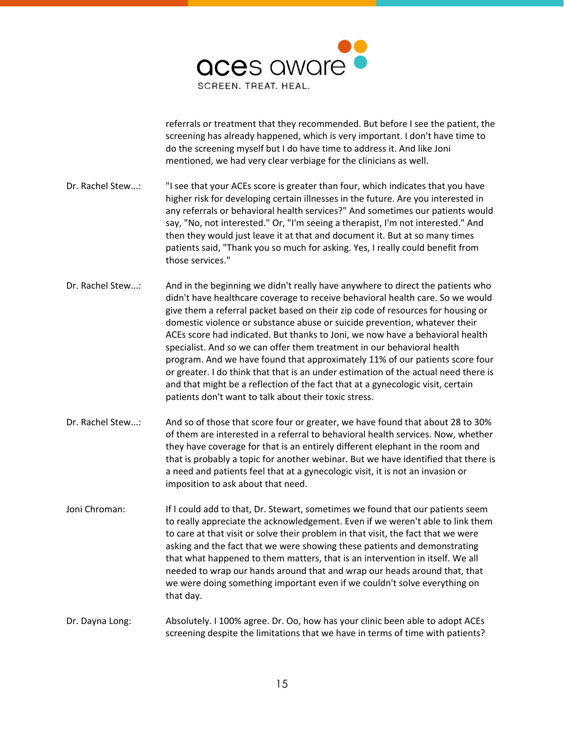

referrals or treatment that they recommended. But before I see the patient, the screening has already happened, which is very important. I don't have time to do the screening myself but I do have time to address it. And like Joni mentioned, we had very clear verbiage for the clinicians as well.

- Dr. Rachel Stew...: "I see that your ACEs score is greater than four, which indicates that you have higher risk for developing certain illnesses in the future. Are you interested in any referrals or behavioral health services?" And sometimes our patients would say, "No, not interested." Or, "I'm seeing a therapist, I'm not interested." And then they would just leave it at that and document it. But at so many times patients said, "Thank you so much for asking. Yes, I really could benefit from those services."
- Dr. Rachel Stew...: And in the beginning we didn't really have anywhere to direct the patients who didn't have healthcare coverage to receive behavioral health care. So we would give them a referral packet based on their zip code of resources for housing or domestic violence or substance abuse or suicide prevention, whatever their ACEs score had indicated. But thanks to Joni, we now have a behavioral health specialist. And so we can offer them treatment in our behavioral health program. And we have found that approximately 11% of our patients score four or greater. I do think that that is an under estimation of the actual need there is and that might be a reflection of the fact that at a gynecologic visit, certain patients don't want to talk about their toxic stress.
- Dr. Rachel Stew...: And so of those that score four or greater, we have found that about 28 to 30% of them are interested in a referral to behavioral health services. Now, whether they have coverage for that is an entirely different elephant in the room and that is probably a topic for another webinar. But we have identified that there is a need and patients feel that at a gynecologic visit, it is not an invasion or imposition to ask about that need.
- Joni Chroman: If I could add to that, Dr. Stewart, sometimes we found that our patients seem to really appreciate the acknowledgement. Even if we weren't able to link them to care at that visit or solve their problem in that visit, the fact that we were asking and the fact that we were showing these patients and demonstrating that what happened to them matters, that is an intervention in itself. We all needed to wrap our hands around that and wrap our heads around that, that we were doing something important even if we couldn't solve everything on that day.
- Dr. Dayna Long: Absolutely. I 100% agree. Dr. Oo, how has your clinic been able to adopt ACEs screening despite the limitations that we have in terms of time with patients?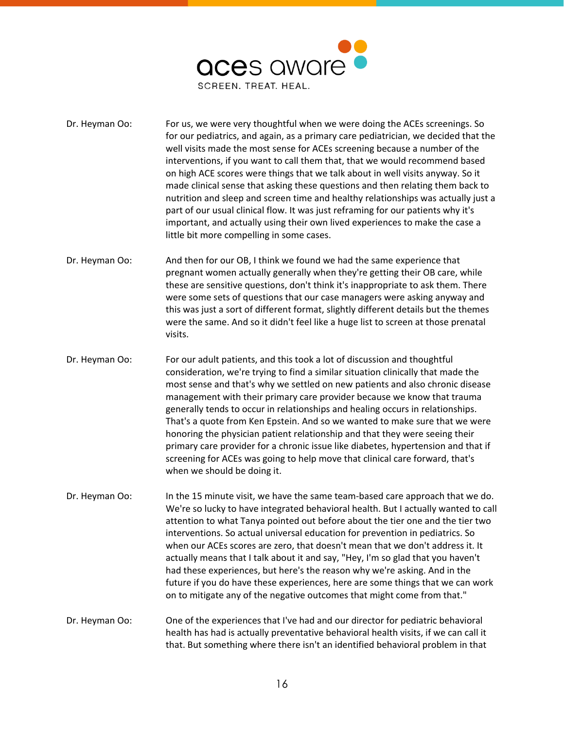

- Dr. Heyman Oo: For us, we were very thoughtful when we were doing the ACEs screenings. So for our pediatrics, and again, as a primary care pediatrician, we decided that the well visits made the most sense for ACEs screening because a number of the interventions, if you want to call them that, that we would recommend based on high ACE scores were things that we talk about in well visits anyway. So it made clinical sense that asking these questions and then relating them back to nutrition and sleep and screen time and healthy relationships was actually just a part of our usual clinical flow. It was just reframing for our patients why it's important, and actually using their own lived experiences to make the case a little bit more compelling in some cases.
- Dr. Heyman Oo: And then for our OB, I think we found we had the same experience that pregnant women actually generally when they're getting their OB care, while these are sensitive questions, don't think it's inappropriate to ask them. There were some sets of questions that our case managers were asking anyway and this was just a sort of different format, slightly different details but the themes were the same. And so it didn't feel like a huge list to screen at those prenatal visits.
- Dr. Heyman Oo: For our adult patients, and this took a lot of discussion and thoughtful consideration, we're trying to find a similar situation clinically that made the most sense and that's why we settled on new patients and also chronic disease management with their primary care provider because we know that trauma generally tends to occur in relationships and healing occurs in relationships. That's a quote from Ken Epstein. And so we wanted to make sure that we were honoring the physician patient relationship and that they were seeing their primary care provider for a chronic issue like diabetes, hypertension and that if screening for ACEs was going to help move that clinical care forward, that's when we should be doing it.
- Dr. Heyman Oo: In the 15 minute visit, we have the same team-based care approach that we do. We're so lucky to have integrated behavioral health. But I actually wanted to call attention to what Tanya pointed out before about the tier one and the tier two interventions. So actual universal education for prevention in pediatrics. So when our ACEs scores are zero, that doesn't mean that we don't address it. It actually means that I talk about it and say, "Hey, I'm so glad that you haven't had these experiences, but here's the reason why we're asking. And in the future if you do have these experiences, here are some things that we can work on to mitigate any of the negative outcomes that might come from that."
- Dr. Heyman Oo: One of the experiences that I've had and our director for pediatric behavioral health has had is actually preventative behavioral health visits, if we can call it that. But something where there isn't an identified behavioral problem in that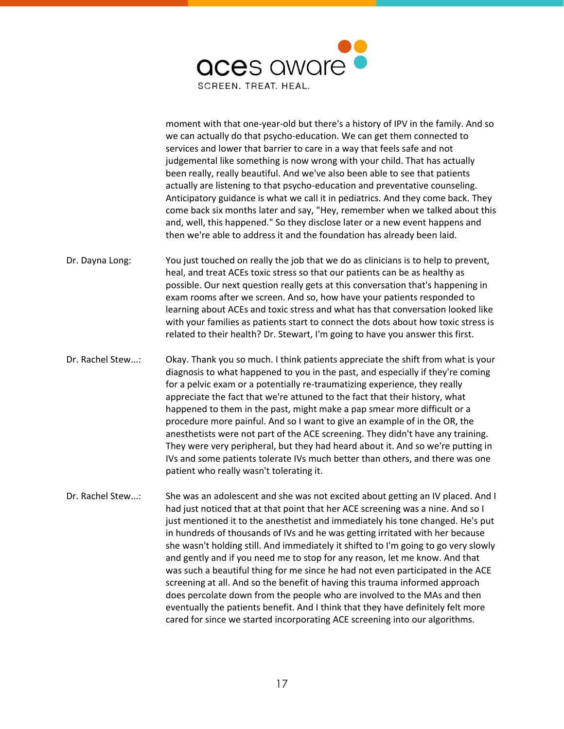

moment with that one-year-old but there's a history of IPV in the family. And so we can actually do that psycho-education. We can get them connected to services and lower that barrier to care in a way that feels safe and not judgemental like something is now wrong with your child. That has actually been really, really beautiful. And we've also been able to see that patients actually are listening to that psycho-education and preventative counseling. Anticipatory guidance is what we call it in pediatrics. And they come back. They come back six months later and say, "Hey, remember when we talked about this and, well, this happened." So they disclose later or a new event happens and then we're able to address it and the foundation has already been laid.

- Dr. Dayna Long: You just touched on really the job that we do as clinicians is to help to prevent, heal, and treat ACEs toxic stress so that our patients can be as healthy as possible. Our next question really gets at this conversation that's happening in exam rooms after we screen. And so, how have your patients responded to learning about ACEs and toxic stress and what has that conversation looked like with your families as patients start to connect the dots about how toxic stress is related to their health? Dr. Stewart, I'm going to have you answer this first.
- Dr. Rachel Stew...: Okay. Thank you so much. I think patients appreciate the shift from what is your diagnosis to what happened to you in the past, and especially if they're coming for a pelvic exam or a potentially re-traumatizing experience, they really appreciate the fact that we're attuned to the fact that their history, what happened to them in the past, might make a pap smear more difficult or a procedure more painful. And so I want to give an example of in the OR, the anesthetists were not part of the ACE screening. They didn't have any training. They were very peripheral, but they had heard about it. And so we're putting in IVs and some patients tolerate IVs much better than others, and there was one patient who really wasn't tolerating it.
- Dr. Rachel Stew...: She was an adolescent and she was not excited about getting an IV placed. And I had just noticed that at that point that her ACE screening was a nine. And so I just mentioned it to the anesthetist and immediately his tone changed. He's put in hundreds of thousands of IVs and he was getting irritated with her because she wasn't holding still. And immediately it shifted to I'm going to go very slowly and gently and if you need me to stop for any reason, let me know. And that was such a beautiful thing for me since he had not even participated in the ACE screening at all. And so the benefit of having this trauma informed approach does percolate down from the people who are involved to the MAs and then eventually the patients benefit. And I think that they have definitely felt more cared for since we started incorporating ACE screening into our algorithms.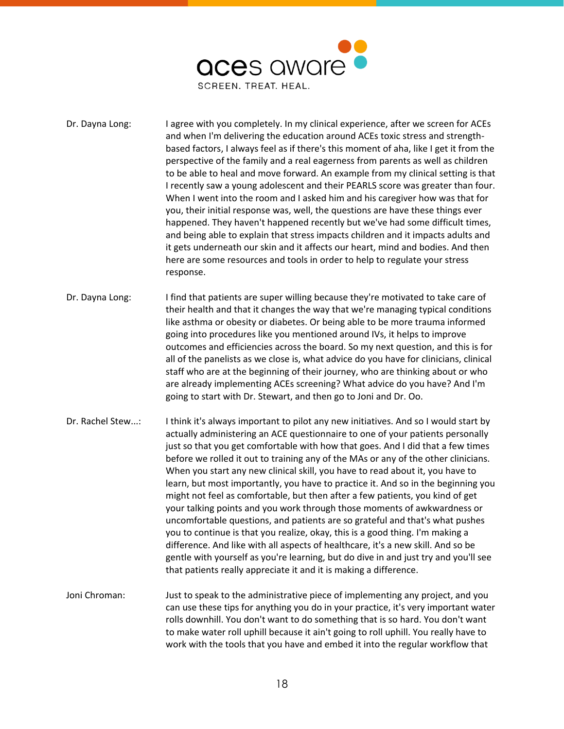

- Dr. Dayna Long: I agree with you completely. In my clinical experience, after we screen for ACEs and when I'm delivering the education around ACEs toxic stress and strengthbased factors, I always feel as if there's this moment of aha, like I get it from the perspective of the family and a real eagerness from parents as well as children to be able to heal and move forward. An example from my clinical setting is that I recently saw a young adolescent and their PEARLS score was greater than four. When I went into the room and I asked him and his caregiver how was that for you, their initial response was, well, the questions are have these things ever happened. They haven't happened recently but we've had some difficult times, and being able to explain that stress impacts children and it impacts adults and it gets underneath our skin and it affects our heart, mind and bodies. And then here are some resources and tools in order to help to regulate your stress response.
- Dr. Dayna Long: I find that patients are super willing because they're motivated to take care of their health and that it changes the way that we're managing typical conditions like asthma or obesity or diabetes. Or being able to be more trauma informed going into procedures like you mentioned around IVs, it helps to improve outcomes and efficiencies across the board. So my next question, and this is for all of the panelists as we close is, what advice do you have for clinicians, clinical staff who are at the beginning of their journey, who are thinking about or who are already implementing ACEs screening? What advice do you have? And I'm going to start with Dr. Stewart, and then go to Joni and Dr. Oo.
- Dr. Rachel Stew...: I think it's always important to pilot any new initiatives. And so I would start by actually administering an ACE questionnaire to one of your patients personally just so that you get comfortable with how that goes. And I did that a few times before we rolled it out to training any of the MAs or any of the other clinicians. When you start any new clinical skill, you have to read about it, you have to learn, but most importantly, you have to practice it. And so in the beginning you might not feel as comfortable, but then after a few patients, you kind of get your talking points and you work through those moments of awkwardness or uncomfortable questions, and patients are so grateful and that's what pushes you to continue is that you realize, okay, this is a good thing. I'm making a difference. And like with all aspects of healthcare, it's a new skill. And so be gentle with yourself as you're learning, but do dive in and just try and you'll see that patients really appreciate it and it is making a difference.
- Joni Chroman: Just to speak to the administrative piece of implementing any project, and you can use these tips for anything you do in your practice, it's very important water rolls downhill. You don't want to do something that is so hard. You don't want to make water roll uphill because it ain't going to roll uphill. You really have to work with the tools that you have and embed it into the regular workflow that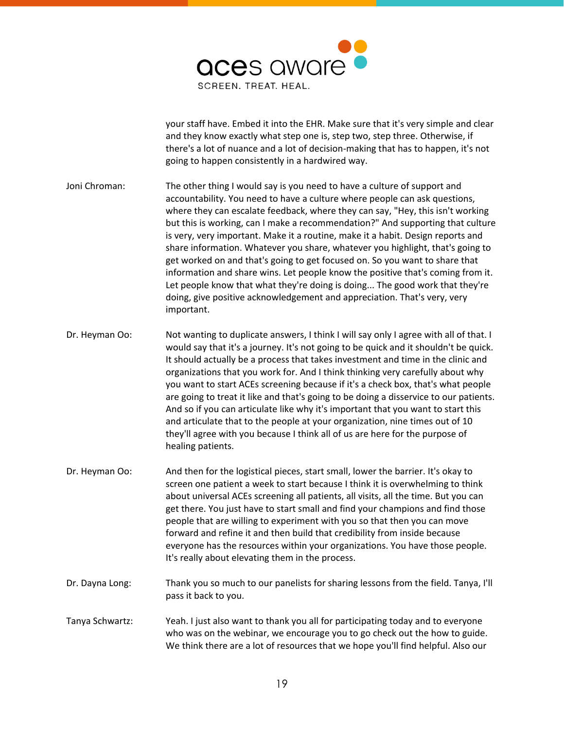

your staff have. Embed it into the EHR. Make sure that it's very simple and clear and they know exactly what step one is, step two, step three. Otherwise, if there's a lot of nuance and a lot of decision-making that has to happen, it's not going to happen consistently in a hardwired way.

- Joni Chroman: The other thing I would say is you need to have a culture of support and accountability. You need to have a culture where people can ask questions, where they can escalate feedback, where they can say, "Hey, this isn't working but this is working, can I make a recommendation?" And supporting that culture is very, very important. Make it a routine, make it a habit. Design reports and share information. Whatever you share, whatever you highlight, that's going to get worked on and that's going to get focused on. So you want to share that information and share wins. Let people know the positive that's coming from it. Let people know that what they're doing is doing... The good work that they're doing, give positive acknowledgement and appreciation. That's very, very important.
- Dr. Heyman Oo: Not wanting to duplicate answers, I think I will say only I agree with all of that. I would say that it's a journey. It's not going to be quick and it shouldn't be quick. It should actually be a process that takes investment and time in the clinic and organizations that you work for. And I think thinking very carefully about why you want to start ACEs screening because if it's a check box, that's what people are going to treat it like and that's going to be doing a disservice to our patients. And so if you can articulate like why it's important that you want to start this and articulate that to the people at your organization, nine times out of 10 they'll agree with you because I think all of us are here for the purpose of healing patients.
- Dr. Heyman Oo: And then for the logistical pieces, start small, lower the barrier. It's okay to screen one patient a week to start because I think it is overwhelming to think about universal ACEs screening all patients, all visits, all the time. But you can get there. You just have to start small and find your champions and find those people that are willing to experiment with you so that then you can move forward and refine it and then build that credibility from inside because everyone has the resources within your organizations. You have those people. It's really about elevating them in the process.
- Dr. Dayna Long: Thank you so much to our panelists for sharing lessons from the field. Tanya, I'll pass it back to you.
- Tanya Schwartz: Yeah. I just also want to thank you all for participating today and to everyone who was on the webinar, we encourage you to go check out the how to guide. We think there are a lot of resources that we hope you'll find helpful. Also our